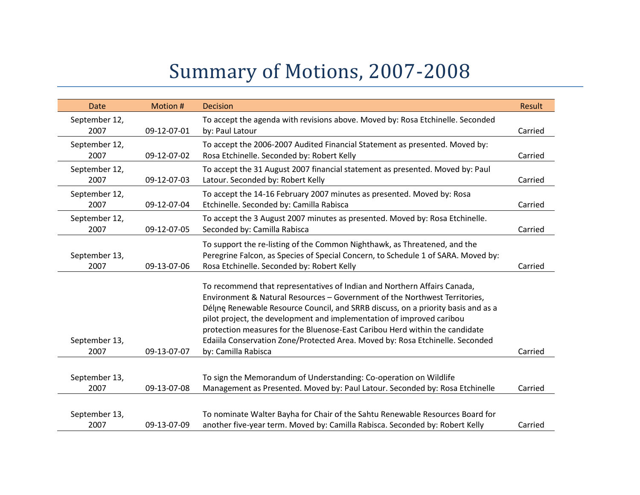## Summary of Motions, 2007-2008

| <b>Date</b>           | Motion #    | <b>Decision</b>                                                                                                                                                                                                                                                                                                                                                                                                                                                                                             | Result  |
|-----------------------|-------------|-------------------------------------------------------------------------------------------------------------------------------------------------------------------------------------------------------------------------------------------------------------------------------------------------------------------------------------------------------------------------------------------------------------------------------------------------------------------------------------------------------------|---------|
| September 12,<br>2007 | 09-12-07-01 | To accept the agenda with revisions above. Moved by: Rosa Etchinelle. Seconded<br>by: Paul Latour                                                                                                                                                                                                                                                                                                                                                                                                           | Carried |
| September 12,<br>2007 | 09-12-07-02 | To accept the 2006-2007 Audited Financial Statement as presented. Moved by:<br>Rosa Etchinelle. Seconded by: Robert Kelly                                                                                                                                                                                                                                                                                                                                                                                   | Carried |
| September 12,<br>2007 | 09-12-07-03 | To accept the 31 August 2007 financial statement as presented. Moved by: Paul<br>Latour. Seconded by: Robert Kelly                                                                                                                                                                                                                                                                                                                                                                                          | Carried |
| September 12,<br>2007 | 09-12-07-04 | To accept the 14-16 February 2007 minutes as presented. Moved by: Rosa<br>Etchinelle. Seconded by: Camilla Rabisca                                                                                                                                                                                                                                                                                                                                                                                          | Carried |
| September 12,<br>2007 | 09-12-07-05 | To accept the 3 August 2007 minutes as presented. Moved by: Rosa Etchinelle.<br>Seconded by: Camilla Rabisca                                                                                                                                                                                                                                                                                                                                                                                                | Carried |
| September 13,<br>2007 | 09-13-07-06 | To support the re-listing of the Common Nighthawk, as Threatened, and the<br>Peregrine Falcon, as Species of Special Concern, to Schedule 1 of SARA. Moved by:<br>Rosa Etchinelle. Seconded by: Robert Kelly                                                                                                                                                                                                                                                                                                | Carried |
| September 13,<br>2007 | 09-13-07-07 | To recommend that representatives of Indian and Northern Affairs Canada,<br>Environment & Natural Resources - Government of the Northwest Territories,<br>Délinę Renewable Resource Council, and SRRB discuss, on a priority basis and as a<br>pilot project, the development and implementation of improved caribou<br>protection measures for the Bluenose-East Caribou Herd within the candidate<br>Edaiila Conservation Zone/Protected Area. Moved by: Rosa Etchinelle. Seconded<br>by: Camilla Rabisca | Carried |
| September 13,<br>2007 | 09-13-07-08 | To sign the Memorandum of Understanding: Co-operation on Wildlife<br>Management as Presented. Moved by: Paul Latour. Seconded by: Rosa Etchinelle                                                                                                                                                                                                                                                                                                                                                           | Carried |
| September 13,<br>2007 | 09-13-07-09 | To nominate Walter Bayha for Chair of the Sahtu Renewable Resources Board for<br>another five-year term. Moved by: Camilla Rabisca. Seconded by: Robert Kelly                                                                                                                                                                                                                                                                                                                                               | Carried |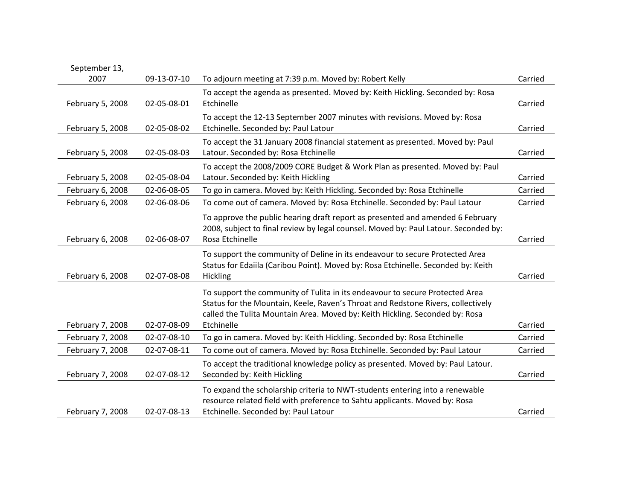| September 13,    |             |                                                                                                                                                                                                                                                                |         |
|------------------|-------------|----------------------------------------------------------------------------------------------------------------------------------------------------------------------------------------------------------------------------------------------------------------|---------|
| 2007             | 09-13-07-10 | To adjourn meeting at 7:39 p.m. Moved by: Robert Kelly                                                                                                                                                                                                         | Carried |
| February 5, 2008 | 02-05-08-01 | To accept the agenda as presented. Moved by: Keith Hickling. Seconded by: Rosa<br>Etchinelle                                                                                                                                                                   | Carried |
| February 5, 2008 | 02-05-08-02 | To accept the 12-13 September 2007 minutes with revisions. Moved by: Rosa<br>Etchinelle. Seconded by: Paul Latour                                                                                                                                              | Carried |
| February 5, 2008 | 02-05-08-03 | To accept the 31 January 2008 financial statement as presented. Moved by: Paul<br>Latour. Seconded by: Rosa Etchinelle                                                                                                                                         | Carried |
| February 5, 2008 | 02-05-08-04 | To accept the 2008/2009 CORE Budget & Work Plan as presented. Moved by: Paul<br>Latour. Seconded by: Keith Hickling                                                                                                                                            | Carried |
| February 6, 2008 | 02-06-08-05 | To go in camera. Moved by: Keith Hickling. Seconded by: Rosa Etchinelle                                                                                                                                                                                        | Carried |
| February 6, 2008 | 02-06-08-06 | To come out of camera. Moved by: Rosa Etchinelle. Seconded by: Paul Latour                                                                                                                                                                                     | Carried |
| February 6, 2008 | 02-06-08-07 | To approve the public hearing draft report as presented and amended 6 February<br>2008, subject to final review by legal counsel. Moved by: Paul Latour. Seconded by:<br>Rosa Etchinelle                                                                       | Carried |
| February 6, 2008 | 02-07-08-08 | To support the community of Deline in its endeavour to secure Protected Area<br>Status for Edaiila (Caribou Point). Moved by: Rosa Etchinelle. Seconded by: Keith<br>Hickling                                                                                  | Carried |
| February 7, 2008 | 02-07-08-09 | To support the community of Tulita in its endeavour to secure Protected Area<br>Status for the Mountain, Keele, Raven's Throat and Redstone Rivers, collectively<br>called the Tulita Mountain Area. Moved by: Keith Hickling. Seconded by: Rosa<br>Etchinelle | Carried |
| February 7, 2008 | 02-07-08-10 | To go in camera. Moved by: Keith Hickling. Seconded by: Rosa Etchinelle                                                                                                                                                                                        | Carried |
| February 7, 2008 | 02-07-08-11 | To come out of camera. Moved by: Rosa Etchinelle. Seconded by: Paul Latour                                                                                                                                                                                     | Carried |
| February 7, 2008 | 02-07-08-12 | To accept the traditional knowledge policy as presented. Moved by: Paul Latour.<br>Seconded by: Keith Hickling                                                                                                                                                 | Carried |
| February 7, 2008 | 02-07-08-13 | To expand the scholarship criteria to NWT-students entering into a renewable<br>resource related field with preference to Sahtu applicants. Moved by: Rosa<br>Etchinelle. Seconded by: Paul Latour                                                             | Carried |